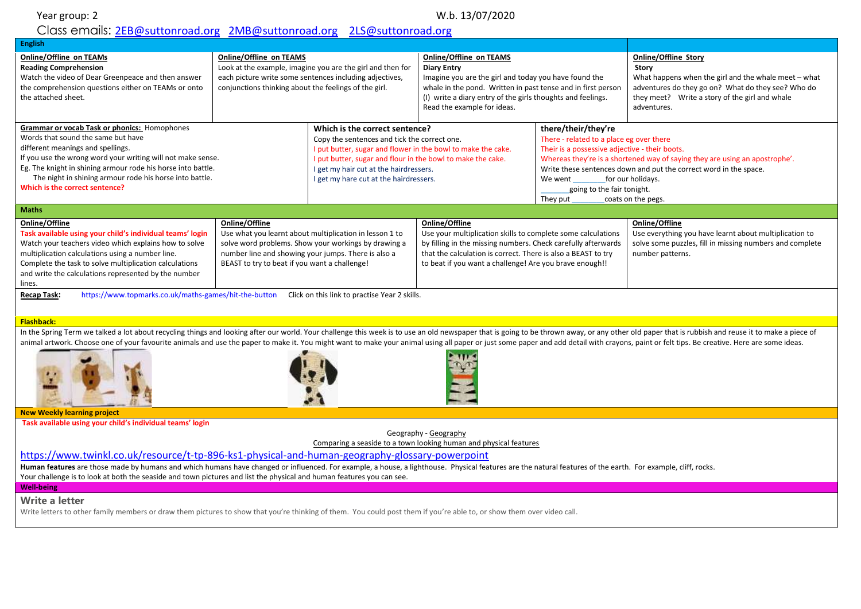### Class emails: [2EB@suttonroad.org](mailto:2EB@suttonroad.org) [2MB@suttonroad.org](mailto:2MB@suttonroad.org) [2LS@suttonroad.org](mailto:2LS@suttonroad.org)

| <b>English</b>                                                                                                                                                                                                                                                                                                                                                                                                                                                                                                                                                                       |                                                                                                                                                                                                                                                                                                                                                  |                                                                                                                                                                                                                                                                                                   |                                                                                                                                                                                                                                                                             |                                                                                                                                                                        |                                                                                                                                                                                                                     |  |
|--------------------------------------------------------------------------------------------------------------------------------------------------------------------------------------------------------------------------------------------------------------------------------------------------------------------------------------------------------------------------------------------------------------------------------------------------------------------------------------------------------------------------------------------------------------------------------------|--------------------------------------------------------------------------------------------------------------------------------------------------------------------------------------------------------------------------------------------------------------------------------------------------------------------------------------------------|---------------------------------------------------------------------------------------------------------------------------------------------------------------------------------------------------------------------------------------------------------------------------------------------------|-----------------------------------------------------------------------------------------------------------------------------------------------------------------------------------------------------------------------------------------------------------------------------|------------------------------------------------------------------------------------------------------------------------------------------------------------------------|---------------------------------------------------------------------------------------------------------------------------------------------------------------------------------------------------------------------|--|
| <b>Online/Offline on TEAMs</b><br><b>Reading Comprehension</b><br>Watch the video of Dear Greenpeace and then answer<br>the comprehension questions either on TEAMs or onto<br>the attached sheet.                                                                                                                                                                                                                                                                                                                                                                                   | <b>Online/Offline on TEAMS</b><br>Look at the example, imagine you are the girl and then for<br>each picture write some sentences including adjectives,<br>conjunctions thinking about the feelings of the girl.                                                                                                                                 |                                                                                                                                                                                                                                                                                                   | <b>Online/Offline on TEAMS</b><br><b>Diary Entry</b><br>Imagine you are the girl and today you have found the<br>whale in the pond. Written in past tense and in first person<br>(I) write a diary entry of the girls thoughts and feelings.<br>Read the example for ideas. |                                                                                                                                                                        | <b>Online/Offline Story</b><br>Story<br>What happens when the girl and the whale meet – what<br>adventures do they go on? What do they see? Who do<br>they meet? Write a story of the girl and whale<br>adventures. |  |
| Grammar or vocab Task or phonics: Homophones<br>Words that sound the same but have<br>different meanings and spellings.<br>If you use the wrong word your writing will not make sense.<br>Eg. The knight in shining armour rode his horse into battle.<br>The night in shining armour rode his horse into battle.<br>Which is the correct sentence?                                                                                                                                                                                                                                  |                                                                                                                                                                                                                                                                                                                                                  | Which is the correct sentence?<br>Copy the sentences and tick the correct one.<br>I put butter, sugar and flower in the bowl to make the cake.<br>I put butter, sugar and flour in the bowl to make the cake.<br>I get my hair cut at the hairdressers.<br>I get my hare cut at the hairdressers. |                                                                                                                                                                                                                                                                             | there/their/they're<br>There - related to a place eg over there<br>Their is a possessive adjective - their boots.<br>We went<br>going to the fair tonight.<br>They put | Whereas they're is a shortened way of saying they are using an apostrophe'.<br>Write these sentences down and put the correct word in the space.<br>for our holidays.<br>coats on the pegs.                         |  |
| <b>Maths</b>                                                                                                                                                                                                                                                                                                                                                                                                                                                                                                                                                                         |                                                                                                                                                                                                                                                                                                                                                  |                                                                                                                                                                                                                                                                                                   |                                                                                                                                                                                                                                                                             |                                                                                                                                                                        |                                                                                                                                                                                                                     |  |
| Online/Offline<br>Task available using your child's individual teams' login<br>Watch your teachers video which explains how to solve<br>multiplication calculations using a number line.<br>Complete the task to solve multiplication calculations<br>and write the calculations represented by the number<br>lines.<br>Recap Task:                                                                                                                                                                                                                                                  | Online/Offline<br>Use what you learnt about multiplication in lesson 1 to<br>solve word problems. Show your workings by drawing a<br>number line and showing your jumps. There is also a<br>BEAST to try to beat if you want a challenge!<br>https://www.topmarks.co.uk/maths-games/hit-the-button Click on this link to practise Year 2 skills. |                                                                                                                                                                                                                                                                                                   | Online/Offline<br>Use your multiplication skills to complete some calculations<br>by filling in the missing numbers. Check carefully afterwards<br>that the calculation is correct. There is also a BEAST to try<br>to beat if you want a challenge! Are you brave enough!! |                                                                                                                                                                        | Online/Offline<br>Use everything you have learnt about multiplication to<br>solve some puzzles, fill in missing numbers and complete<br>number patterns.                                                            |  |
|                                                                                                                                                                                                                                                                                                                                                                                                                                                                                                                                                                                      |                                                                                                                                                                                                                                                                                                                                                  |                                                                                                                                                                                                                                                                                                   |                                                                                                                                                                                                                                                                             |                                                                                                                                                                        |                                                                                                                                                                                                                     |  |
| <b>Flashback:</b><br>In the Spring Term we talked a lot about recycling things and looking after our world. Your challenge this week is to use an old newspaper that is going to be thrown away, or any other old paper that is rubbish and reuse i<br>animal artwork. Choose one of your favourite animals and use the paper to make it. You might want to make your animal using all paper or just some paper and add detail with crayons, paint or felt tips. Be creative. Here ar                                                                                                |                                                                                                                                                                                                                                                                                                                                                  |                                                                                                                                                                                                                                                                                                   |                                                                                                                                                                                                                                                                             |                                                                                                                                                                        |                                                                                                                                                                                                                     |  |
| <b>New Weekly learning project</b><br>Task available using your child's individual teams' login                                                                                                                                                                                                                                                                                                                                                                                                                                                                                      |                                                                                                                                                                                                                                                                                                                                                  |                                                                                                                                                                                                                                                                                                   |                                                                                                                                                                                                                                                                             |                                                                                                                                                                        |                                                                                                                                                                                                                     |  |
| Geography - Geography<br>Comparing a seaside to a town looking human and physical features<br>https://www.twinkl.co.uk/resource/t-tp-896-ks1-physical-and-human-geography-glossary-powerpoint<br>Human features are those made by humans and which humans have changed or influenced. For example, a house, a lighthouse. Physical features are the natural features of the earth. For example, cliff, rocks.<br>Your challenge is to look at both the seaside and town pictures and list the physical and human features you can see.<br><b>Well-being</b><br><b>Write a letter</b> |                                                                                                                                                                                                                                                                                                                                                  |                                                                                                                                                                                                                                                                                                   |                                                                                                                                                                                                                                                                             |                                                                                                                                                                        |                                                                                                                                                                                                                     |  |
| Write letters to other family members or draw them pictures to show that you're thinking of them. You could post them if you're able to, or show them over video call.                                                                                                                                                                                                                                                                                                                                                                                                               |                                                                                                                                                                                                                                                                                                                                                  |                                                                                                                                                                                                                                                                                                   |                                                                                                                                                                                                                                                                             |                                                                                                                                                                        |                                                                                                                                                                                                                     |  |
|                                                                                                                                                                                                                                                                                                                                                                                                                                                                                                                                                                                      |                                                                                                                                                                                                                                                                                                                                                  |                                                                                                                                                                                                                                                                                                   |                                                                                                                                                                                                                                                                             |                                                                                                                                                                        |                                                                                                                                                                                                                     |  |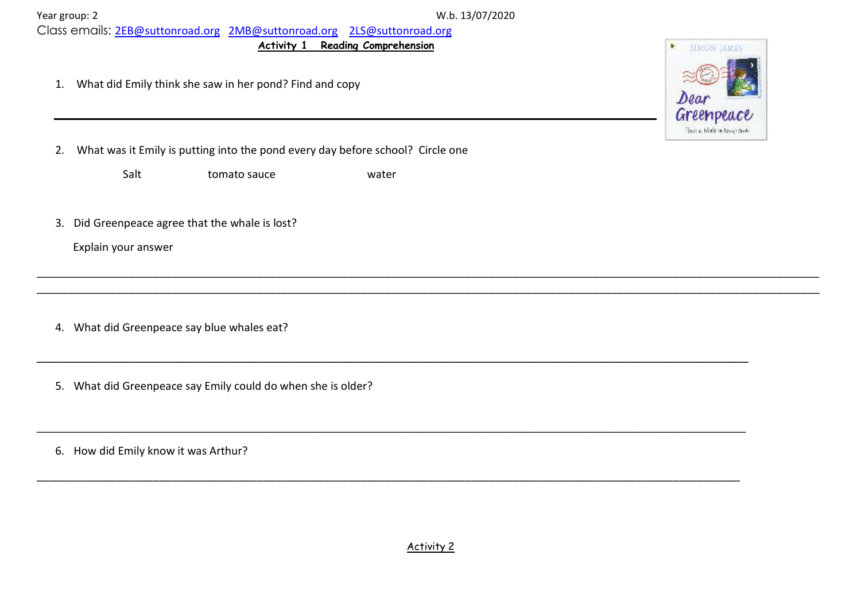| Year group: 2 |  |
|---------------|--|
|               |  |

W.b. 13/07/2020

Class emails: [2EB@suttonroad.org](mailto:2EB@suttonroad.org) [2MB@suttonroad.org](mailto:2MB@suttonroad.org) [2LS@suttonroad.org](mailto:2LS@suttonroad.org)

**Activity 1 Reading Comprehension**

1. What did Emily think she saw in her pond? Find and copy



Salt tomato sauce water

3. Did Greenpeace agree that the whale is lost?

Explain your answer

4. What did Greenpeace say blue whales eat?

5. What did Greenpeace say Emily could do when she is older?

6. How did Emily know it was Arthur?



Activity 2

\_\_\_\_\_\_\_\_\_\_\_\_\_\_\_\_\_\_\_\_\_\_\_\_\_\_\_\_\_\_\_\_\_\_\_\_\_\_\_\_\_\_\_\_\_\_\_\_\_\_\_\_\_\_\_\_\_\_\_\_\_\_\_\_\_\_\_\_\_\_\_\_\_\_\_\_\_\_\_\_\_\_\_\_\_\_\_\_\_\_\_\_\_\_\_\_\_\_\_\_\_\_\_\_\_\_\_\_\_\_\_\_\_\_\_\_\_\_\_\_\_\_\_\_\_\_\_\_ \_\_\_\_\_\_\_\_\_\_\_\_\_\_\_\_\_\_\_\_\_\_\_\_\_\_\_\_\_\_\_\_\_\_\_\_\_\_\_\_\_\_\_\_\_\_\_\_\_\_\_\_\_\_\_\_\_\_\_\_\_\_\_\_\_\_\_\_\_\_\_\_\_\_\_\_\_\_\_\_\_\_\_\_\_\_\_\_\_\_\_\_\_\_\_\_\_\_\_\_\_\_\_\_\_\_\_\_\_\_\_\_\_\_\_\_\_\_\_\_\_\_\_\_\_\_\_\_

\_\_\_\_\_\_\_\_\_\_\_\_\_\_\_\_\_\_\_\_\_\_\_\_\_\_\_\_\_\_\_\_\_\_\_\_\_\_\_\_\_\_\_\_\_\_\_\_\_\_\_\_\_\_\_\_\_\_\_\_\_\_\_\_\_\_\_\_\_\_\_\_\_\_\_\_\_\_\_\_\_\_\_\_\_\_\_\_\_\_\_\_\_\_\_\_\_\_\_\_\_\_\_\_\_\_\_\_\_\_\_

\_\_\_\_\_\_\_\_\_\_\_\_\_\_\_\_\_\_\_\_\_\_\_\_\_\_\_\_\_\_\_\_\_\_\_\_\_\_\_\_\_\_\_\_\_\_\_\_\_\_\_\_\_\_\_\_\_\_\_\_\_\_\_\_\_\_\_\_\_\_\_\_\_\_\_\_\_\_\_\_\_\_\_\_\_\_\_\_\_\_\_\_\_\_\_\_\_\_\_\_\_\_\_\_\_\_\_\_\_\_\_\_\_\_\_\_

\_\_\_\_\_\_\_\_\_\_\_\_\_\_\_\_\_\_\_\_\_\_\_\_\_\_\_\_\_\_\_\_\_\_\_\_\_\_\_\_\_\_\_\_\_\_\_\_\_\_\_\_\_\_\_\_\_\_\_\_\_\_\_\_\_\_\_\_\_\_\_\_\_\_\_\_\_\_\_\_\_\_\_\_\_\_\_\_\_\_\_\_\_\_\_\_\_\_\_\_\_\_\_\_\_\_\_\_\_\_\_\_\_\_\_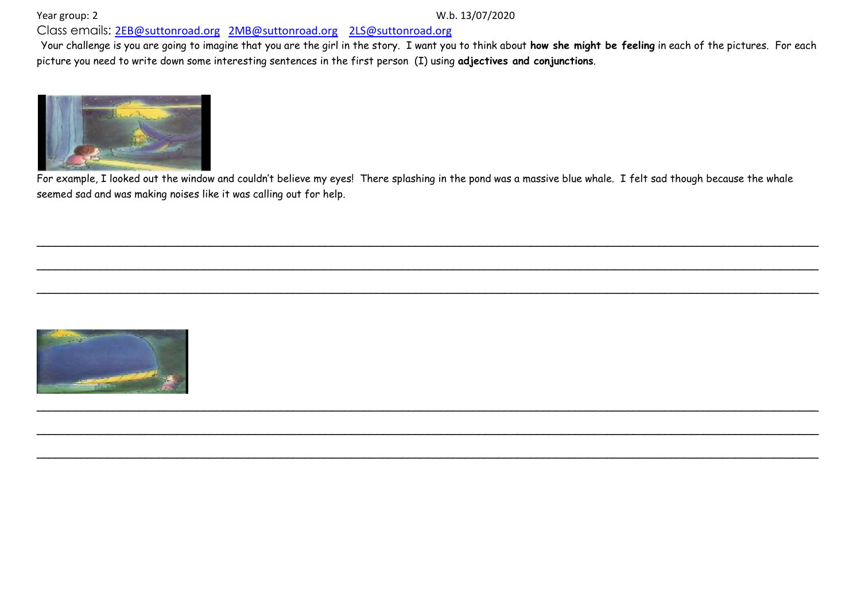Class emails: [2EB@suttonroad.org](mailto:2EB@suttonroad.org) [2MB@suttonroad.org](mailto:2MB@suttonroad.org) [2LS@suttonroad.org](mailto:2LS@suttonroad.org)

Your challenge is you are going to imagine that you are the girl in the story. I want you to think about **how she might be feeling** in each of the pictures. For each picture you need to write down some interesting sentences in the first person (I) using **adjectives and conjunctions**.



For example, I looked out the window and couldn't believe my eyes! There splashing in the pond was a massive blue whale. I felt sad though because the whale seemed sad and was making noises like it was calling out for help.

\_\_\_\_\_\_\_\_\_\_\_\_\_\_\_\_\_\_\_\_\_\_\_\_\_\_\_\_\_\_\_\_\_\_\_\_\_\_\_\_\_\_\_\_\_\_\_\_\_\_\_\_\_\_\_\_\_\_\_\_\_\_\_\_\_\_\_\_\_\_\_\_\_\_\_\_\_\_\_\_\_\_\_\_\_\_\_\_\_\_\_\_\_\_\_\_\_\_\_\_\_\_\_\_\_\_\_\_\_\_\_\_\_\_\_\_\_\_\_\_\_\_

\_\_\_\_\_\_\_\_\_\_\_\_\_\_\_\_\_\_\_\_\_\_\_\_\_\_\_\_\_\_\_\_\_\_\_\_\_\_\_\_\_\_\_\_\_\_\_\_\_\_\_\_\_\_\_\_\_\_\_\_\_\_\_\_\_\_\_\_\_\_\_\_\_\_\_\_\_\_\_\_\_\_\_\_\_\_\_\_\_\_\_\_\_\_\_\_\_\_\_\_\_\_\_\_\_\_\_\_\_\_\_\_\_\_\_\_\_\_\_\_\_\_

\_\_\_\_\_\_\_\_\_\_\_\_\_\_\_\_\_\_\_\_\_\_\_\_\_\_\_\_\_\_\_\_\_\_\_\_\_\_\_\_\_\_\_\_\_\_\_\_\_\_\_\_\_\_\_\_\_\_\_\_\_\_\_\_\_\_\_\_\_\_\_\_\_\_\_\_\_\_\_\_\_\_\_\_\_\_\_\_\_\_\_\_\_\_\_\_\_\_\_\_\_\_\_\_\_\_\_\_\_\_\_\_\_\_\_\_\_\_\_\_\_\_

\_\_\_\_\_\_\_\_\_\_\_\_\_\_\_\_\_\_\_\_\_\_\_\_\_\_\_\_\_\_\_\_\_\_\_\_\_\_\_\_\_\_\_\_\_\_\_\_\_\_\_\_\_\_\_\_\_\_\_\_\_\_\_\_\_\_\_\_\_\_\_\_\_\_\_\_\_\_\_\_\_\_\_\_\_\_\_\_\_\_\_\_\_\_\_\_\_\_\_\_\_\_\_\_\_\_\_\_\_\_\_\_\_\_\_\_\_\_\_\_\_\_

\_\_\_\_\_\_\_\_\_\_\_\_\_\_\_\_\_\_\_\_\_\_\_\_\_\_\_\_\_\_\_\_\_\_\_\_\_\_\_\_\_\_\_\_\_\_\_\_\_\_\_\_\_\_\_\_\_\_\_\_\_\_\_\_\_\_\_\_\_\_\_\_\_\_\_\_\_\_\_\_\_\_\_\_\_\_\_\_\_\_\_\_\_\_\_\_\_\_\_\_\_\_\_\_\_\_\_\_\_\_\_\_\_\_\_\_\_\_\_\_\_\_

\_\_\_\_\_\_\_\_\_\_\_\_\_\_\_\_\_\_\_\_\_\_\_\_\_\_\_\_\_\_\_\_\_\_\_\_\_\_\_\_\_\_\_\_\_\_\_\_\_\_\_\_\_\_\_\_\_\_\_\_\_\_\_\_\_\_\_\_\_\_\_\_\_\_\_\_\_\_\_\_\_\_\_\_\_\_\_\_\_\_\_\_\_\_\_\_\_\_\_\_\_\_\_\_\_\_\_\_\_\_\_\_\_\_\_\_\_\_\_\_\_\_

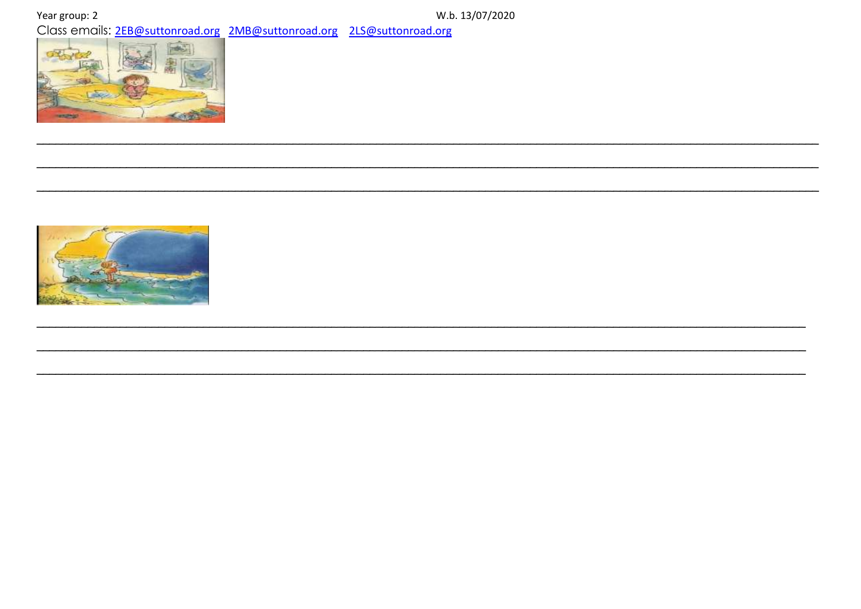Year group: 2

W.b. 13/07/2020 Class emails: 2EB@suttonroad.org 2MB@suttonroad.org 2LS@suttonroad.org



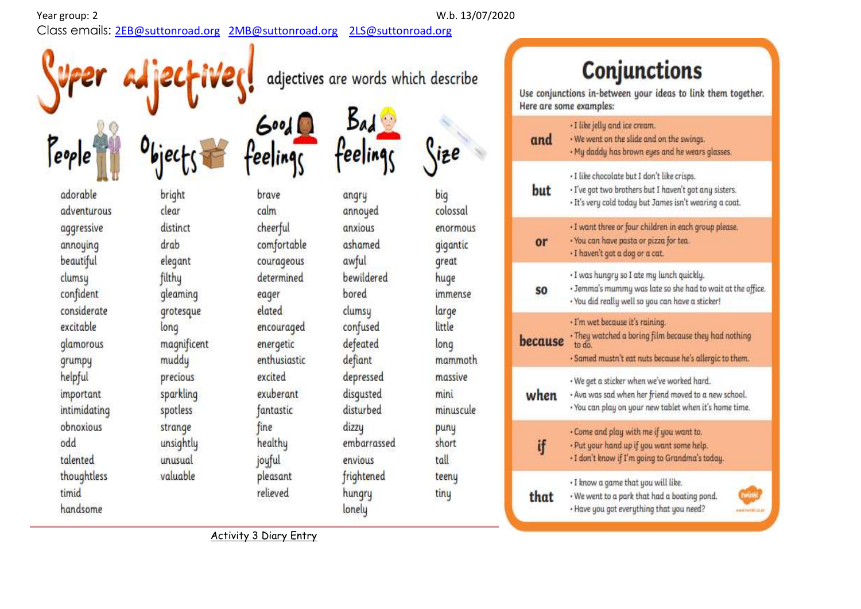eople

Class emails: [2EB@suttonroad.org](mailto:2EB@suttonroad.org) [2MB@suttonroad.org](mailto:2MB@suttonroad.org) [2LS@suttonroad.org](mailto:2LS@suttonroad.org)

Year group: 2 W.b. 13/07/2020

# **Conjunctions**

Use conjunctions in-between your ideas to link them together. Here are some examples:

| and            | · I like jelly and ice cream.<br>. We went on the slide and on the swings.<br>. My daddy has brown eyes and he wears glasses.                                   |  |
|----------------|-----------------------------------------------------------------------------------------------------------------------------------------------------------------|--|
| but            | - I like chocolate but I don't like crisps.<br>. I've got two brothers but I haven't got any sisters.<br>· It's very cold today but James isn't wearing a coat. |  |
| or             | · I want three or four children in each group please.<br>· You can have pasta or pizza for tea.<br>- I haven't got a dog or a cat.                              |  |
| S <sub>0</sub> | · I was hungry so I ate my lunch quickly.<br>. Jemma's mummy was late so she had to wait at the office.<br>· You did really well so you can have a sticker!     |  |
| recause        | · I'm wet because it's raining.<br>. They watched a boring film because they had nothing<br>to do.<br>· Samed mustn't eat nuts because he's allergic to them.   |  |
| when           | • We get a sticker when we've worked hard.<br>. Ava was sad when her friend moved to a new school.<br>. You can play on your new tablet when it's home time.    |  |
| ij             | . Come and play with me if you want to.<br>. Put your hand up if you want some help.<br>- I don't know if I'm going to Grandma's today.                         |  |
| that           | . I know a game that you will like.<br>. We went to a park that had a boating pond.<br>twink<br>· Have you got everything that you need?<br>ww.mylolici.co.uk   |  |

adorable adventurous aggressive annoying beautiful clumsy confident considerate excitable glamorous grumpy helpful important intimidating obnoxious odd talented thoughtless timid handsome

bright clear distinct drab elegant filthy gleaming grotesque long magnificent muddy precious sparkling spotless strange unsightly unusual valuable

brave calm cheerful comfortable courageous determined eager elated encouraged energetic enthusiastic excited exuberant fantastic fine healthy joyful pleasant

angry annoyed anxious ashamed awful bewildered bored clumsy confused defeated defiant depressed disgusted disturbed dizzu embarrassed envious frightened hungry lonely

adjectives are words which describe

Bad

eeli

big colossal enormous gigantic great huge immense large little long mammoth massive mini minuscule puny short tall teeny tiny

Activity 3 Diary Entry

relieved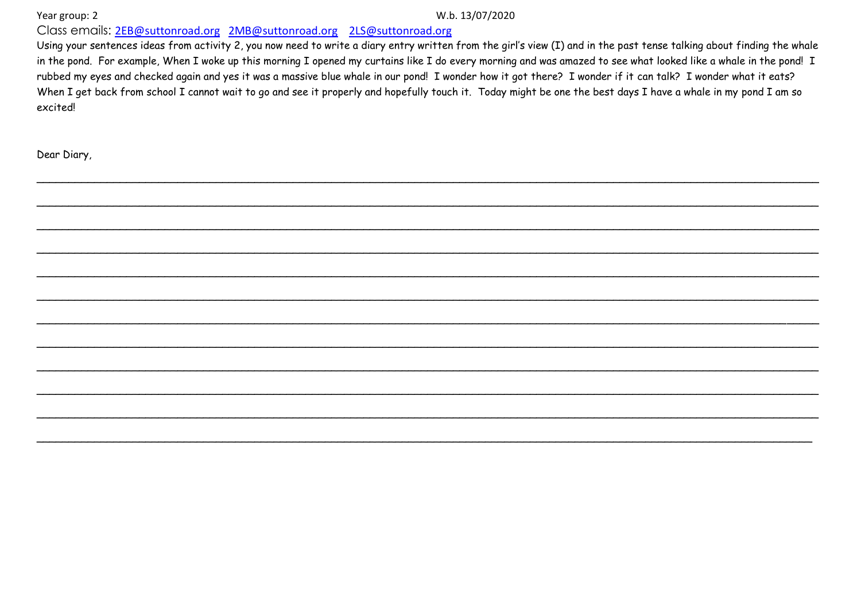Year group: 2

#### W.b. 13/07/2020

Class emails: 2EB@suttonroad.org 2MB@suttonroad.org 2LS@suttonroad.org

Using your sentences ideas from activity 2, you now need to write a diary entry written from the girl's view (I) and in the past tense talking about finding the whale in the pond. For example, When I woke up this morning I opened my curtains like I do every morning and was amazed to see what looked like a whale in the pond! I rubbed my eyes and checked again and yes it was a massive blue whale in our pond! I wonder how it got there? I wonder if it can talk? I wonder what it eats? When I get back from school I cannot wait to go and see it properly and hopefully touch it. Today might be one the best days I have a whale in my pond I am so excitedl

Dear Diary,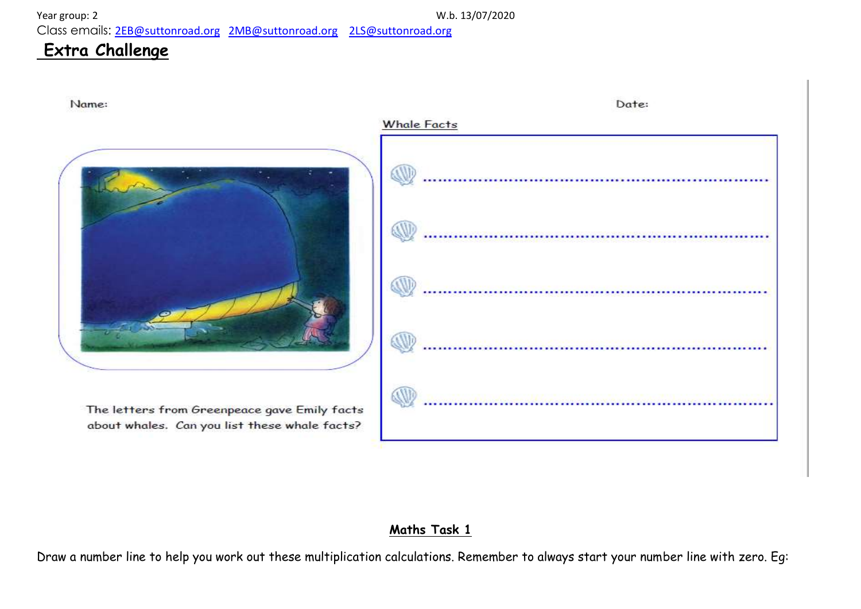Class emails: [2EB@suttonroad.org](mailto:2EB@suttonroad.org) [2MB@suttonroad.org](mailto:2MB@suttonroad.org) [2LS@suttonroad.org](mailto:2LS@suttonroad.org)

## **Extra Challenge**



## **Maths Task 1**

Draw a number line to help you work out these multiplication calculations. Remember to always start your number line with zero. Eg: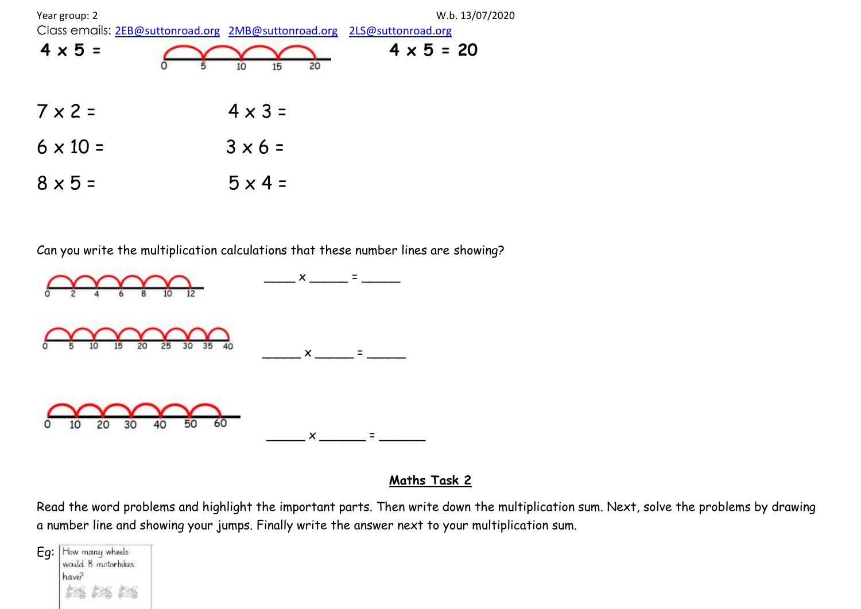

Can you write the multiplication calculations that these number lines are showing?



## **Maths Task 2**

Read the word problems and highlight the important parts. Then write down the multiplication sum. Next, solve the problems by drawing a number line and showing your jumps. Finally write the answer next to your multiplication sum.

Eq: How many wheels would 8 motorbikes have?  $5%$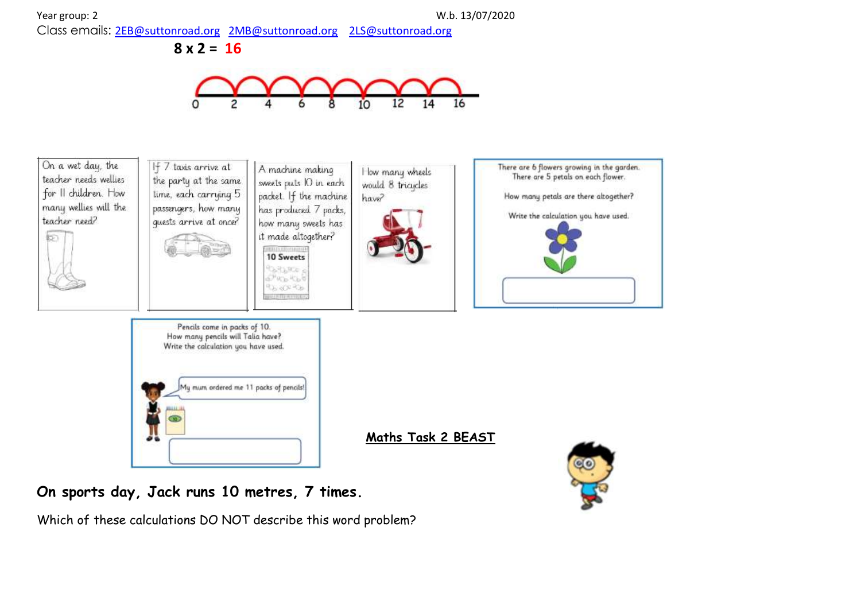

**8 x 2 = 16**





## **On sports day, Jack runs 10 metres, 7 times.**

Which of these calculations DO NOT describe this word problem?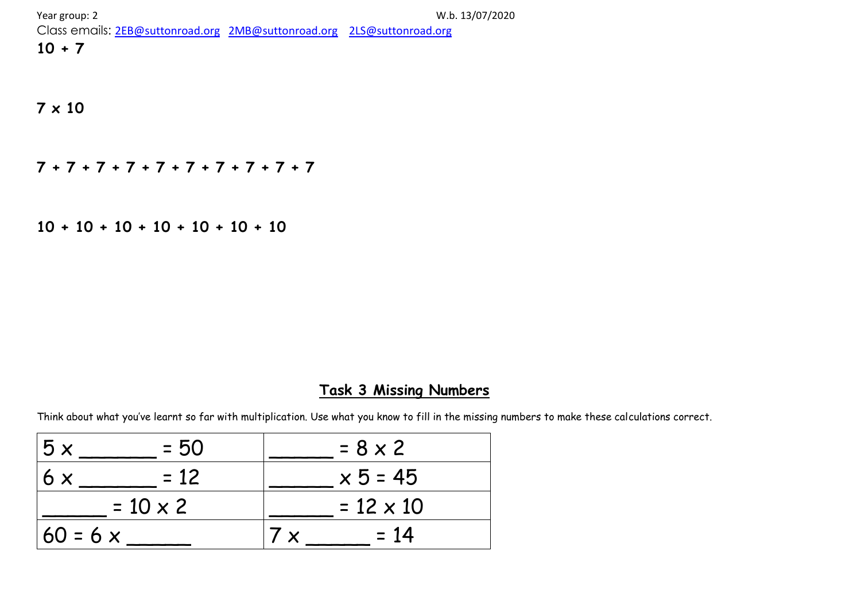Class emails: [2EB@suttonroad.org](mailto:2EB@suttonroad.org) [2MB@suttonroad.org](mailto:2MB@suttonroad.org) [2LS@suttonroad.org](mailto:2LS@suttonroad.org)

## **10 + 7**

## **7 x 10**

**7 + 7 + 7 + 7 + 7 + 7 + 7 + 7 + 7 + 7**

**10 + 10 + 10 + 10 + 10 + 10 + 10**

## **Task 3 Missing Numbers**

Think about what you've learnt so far with multiplication. Use what you know to fill in the missing numbers to make these calculations correct.

| 5x<br>$= 50$    | $= 8 \times 2$   |
|-----------------|------------------|
| $= 12$<br>6x    | $x 5 = 45$       |
| $= 10 \times 2$ | $= 12 \times 10$ |
| $60 = 6 x$      | $= 14$           |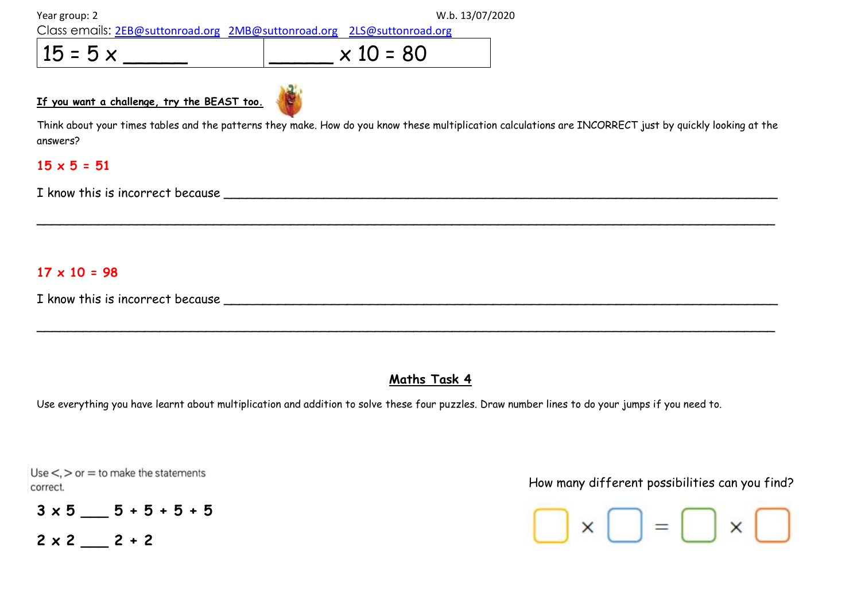Class emails: [2EB@suttonroad.org](mailto:2EB@suttonroad.org) [2MB@suttonroad.org](mailto:2MB@suttonroad.org) [2LS@suttonroad.org](mailto:2LS@suttonroad.org)

 $15 = 5 \times 10 = 80$ 

**If you want a challenge, try the BEAST too.** 

Think about your times tables and the patterns they make. How do you know these multiplication calculations are INCORRECT just by quickly looking at the answers?

\_\_\_\_\_\_\_\_\_\_\_\_\_\_\_\_\_\_\_\_\_\_\_\_\_\_\_\_\_\_\_\_\_\_\_\_\_\_\_\_\_\_\_\_\_\_\_\_\_\_\_\_\_\_\_\_\_\_\_\_\_\_\_\_\_\_\_\_\_\_\_\_\_\_\_\_\_\_\_\_\_\_\_\_\_\_\_\_\_\_\_\_\_\_\_\_

\_\_\_\_\_\_\_\_\_\_\_\_\_\_\_\_\_\_\_\_\_\_\_\_\_\_\_\_\_\_\_\_\_\_\_\_\_\_\_\_\_\_\_\_\_\_\_\_\_\_\_\_\_\_\_\_\_\_\_\_\_\_\_\_\_\_\_\_\_\_\_\_\_\_\_\_\_\_\_\_\_\_\_\_\_\_\_\_\_\_\_\_\_\_\_\_

## **15 x 5 = 51**

I know this is incorrect because

## **17 x 10 = 98**

I know this is incorrect because \_\_\_\_\_\_\_\_\_\_\_\_\_\_\_\_\_\_\_\_\_\_\_\_\_\_\_\_\_\_\_\_\_\_\_\_\_\_\_\_\_\_\_\_\_\_\_\_\_\_\_\_\_\_\_\_\_\_\_\_\_\_\_\_\_\_\_\_\_\_\_\_

## **Maths Task 4**

Use everything you have learnt about multiplication and addition to solve these four puzzles. Draw number lines to do your jumps if you need to.

Use  $\lt$ ,  $>$  or  $=$  to make the statements

 $3 \times 5$   $5 \div 5 + 5 + 5$  $2 \times 2$   $2 + 2$ 

How many different possibilities can you find?

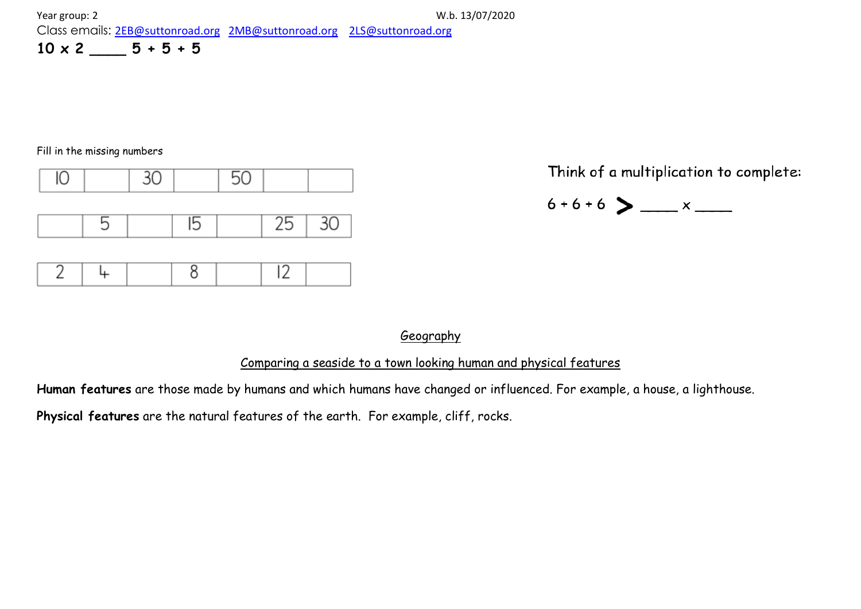#### Fill in the missing numbers



Think of a multiplication to complete:

$$
\overset{6+6+6}{\smile} \sum \ldots x \overset{}
$$

## Geography

## Comparing a seaside to a town looking human and physical features

**Human features** are those made by humans and which humans have changed or influenced. For example, a house, a lighthouse.

**Physical features** are the natural features of the earth. For example, cliff, rocks.